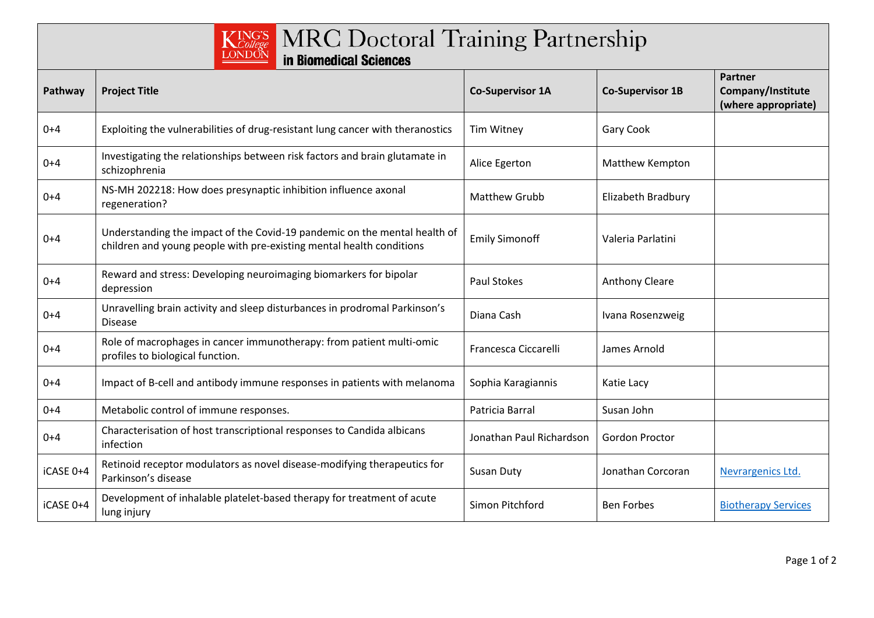

## KEGALEGE MRC Doctoral Training Partnership

| Pathway   | <b>Project Title</b>                                                                                                                              | <b>Co-Supervisor 1A</b>  | <b>Co-Supervisor 1B</b> | <b>Partner</b><br>Company/Institute<br>(where appropriate) |
|-----------|---------------------------------------------------------------------------------------------------------------------------------------------------|--------------------------|-------------------------|------------------------------------------------------------|
| $0 + 4$   | Exploiting the vulnerabilities of drug-resistant lung cancer with theranostics                                                                    | <b>Tim Witney</b>        | Gary Cook               |                                                            |
| $0 + 4$   | Investigating the relationships between risk factors and brain glutamate in<br>schizophrenia                                                      | Alice Egerton            | Matthew Kempton         |                                                            |
| $0 + 4$   | NS-MH 202218: How does presynaptic inhibition influence axonal<br>regeneration?                                                                   | <b>Matthew Grubb</b>     | Elizabeth Bradbury      |                                                            |
| $0 + 4$   | Understanding the impact of the Covid-19 pandemic on the mental health of<br>children and young people with pre-existing mental health conditions | <b>Emily Simonoff</b>    | Valeria Parlatini       |                                                            |
| $0 + 4$   | Reward and stress: Developing neuroimaging biomarkers for bipolar<br>depression                                                                   | <b>Paul Stokes</b>       | <b>Anthony Cleare</b>   |                                                            |
| $0 + 4$   | Unravelling brain activity and sleep disturbances in prodromal Parkinson's<br><b>Disease</b>                                                      | Diana Cash               | Ivana Rosenzweig        |                                                            |
| $0 + 4$   | Role of macrophages in cancer immunotherapy: from patient multi-omic<br>profiles to biological function.                                          | Francesca Ciccarelli     | James Arnold            |                                                            |
| $0 + 4$   | Impact of B-cell and antibody immune responses in patients with melanoma                                                                          | Sophia Karagiannis       | Katie Lacy              |                                                            |
| $0 + 4$   | Metabolic control of immune responses.                                                                                                            | Patricia Barral          | Susan John              |                                                            |
| $0 + 4$   | Characterisation of host transcriptional responses to Candida albicans<br>infection                                                               | Jonathan Paul Richardson | Gordon Proctor          |                                                            |
| iCASE 0+4 | Retinoid receptor modulators as novel disease-modifying therapeutics for<br>Parkinson's disease                                                   | Susan Duty               | Jonathan Corcoran       | Nevrargenics Ltd.                                          |
| iCASE 0+4 | Development of inhalable platelet-based therapy for treatment of acute<br>lung injury                                                             | Simon Pitchford          | <b>Ben Forbes</b>       | <b>Biotherapy Services</b>                                 |